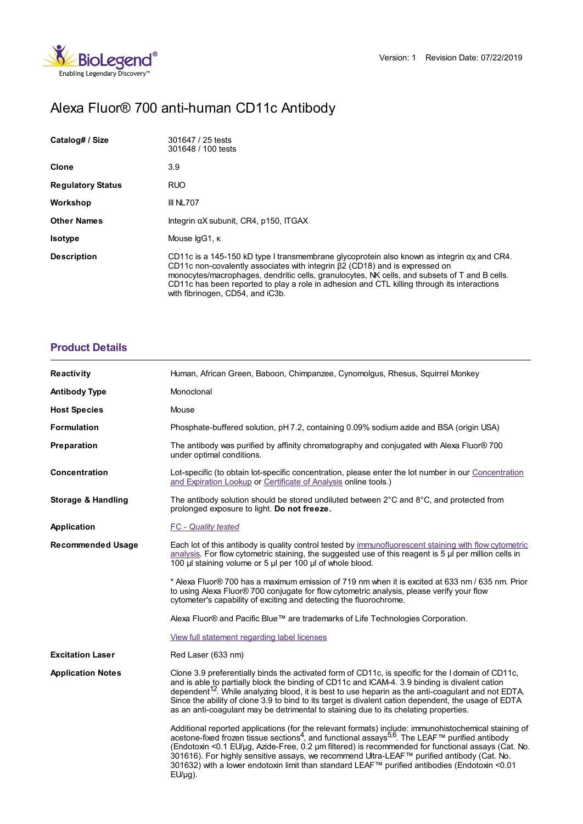



# Alexa Fluor® 700 anti-human CD11c Antibody

| Catalog# / Size          | 301647 / 25 tests<br>301648 / 100 tests                                                                                                                                                                                                                                                                                                                                                                                    |
|--------------------------|----------------------------------------------------------------------------------------------------------------------------------------------------------------------------------------------------------------------------------------------------------------------------------------------------------------------------------------------------------------------------------------------------------------------------|
| Clone                    | 3.9                                                                                                                                                                                                                                                                                                                                                                                                                        |
| <b>Regulatory Status</b> | <b>RUO</b>                                                                                                                                                                                                                                                                                                                                                                                                                 |
| Workshop                 | <b>III NL707</b>                                                                                                                                                                                                                                                                                                                                                                                                           |
| <b>Other Names</b>       | Integrin αX subunit, CR4, p150, ITGAX                                                                                                                                                                                                                                                                                                                                                                                      |
| <b>Isotype</b>           | Mouse IgG1, K                                                                                                                                                                                                                                                                                                                                                                                                              |
| <b>Description</b>       | CD11c is a 145-150 kD type I transmembrane glycoprotein also known as integrin $\alpha$ and CR4.<br>CD11c non-covalently associates with integrin $\beta$ 2 (CD18) and is expressed on<br>monocytes/macrophages, dendritic cells, granulocytes, NK cells, and subsets of T and B cells.<br>CD11c has been reported to play a role in adhesion and CTL killing through its interactions<br>with fibrinogen, CD54, and iC3b. |

# **[Product](https://www.biolegend.com/nl-be/products/alexa-fluor-700-anti-human-cd11c-antibody-18121?pdf=true&displayInline=true&leftRightMargin=15&topBottomMargin=15&filename=Alexa Fluor%EF%BF%BD%EF%BF%BD 700 anti-human CD11c Antibody.pdf#productDetails) Details**

| <b>Reactivity</b>             | Human, African Green, Baboon, Chimpanzee, Cynomolgus, Rhesus, Squirrel Monkey                                                                                                                                                                                                                                                                                                                                                                                                                                                                        |
|-------------------------------|------------------------------------------------------------------------------------------------------------------------------------------------------------------------------------------------------------------------------------------------------------------------------------------------------------------------------------------------------------------------------------------------------------------------------------------------------------------------------------------------------------------------------------------------------|
| <b>Antibody Type</b>          | Monoclonal                                                                                                                                                                                                                                                                                                                                                                                                                                                                                                                                           |
| <b>Host Species</b>           | Mouse                                                                                                                                                                                                                                                                                                                                                                                                                                                                                                                                                |
| <b>Formulation</b>            | Phosphate-buffered solution, pH 7.2, containing 0.09% sodium azide and BSA (origin USA)                                                                                                                                                                                                                                                                                                                                                                                                                                                              |
| Preparation                   | The antibody was purified by affinity chromatography and conjugated with Alexa Fluor® 700<br>under optimal conditions.                                                                                                                                                                                                                                                                                                                                                                                                                               |
| Concentration                 | Lot-specific (to obtain lot-specific concentration, please enter the lot number in our Concentration<br>and Expiration Lookup or Certificate of Analysis online tools.)                                                                                                                                                                                                                                                                                                                                                                              |
| <b>Storage &amp; Handling</b> | The antibody solution should be stored undiluted between $2^{\circ}$ C and $8^{\circ}$ C, and protected from<br>prolonged exposure to light. Do not freeze.                                                                                                                                                                                                                                                                                                                                                                                          |
| Application                   | <b>FC</b> - Quality tested                                                                                                                                                                                                                                                                                                                                                                                                                                                                                                                           |
| <b>Recommended Usage</b>      | Each lot of this antibody is quality control tested by immunofluorescent staining with flow cytometric<br>analysis. For flow cytometric staining, the suggested use of this reagent is $5 \mu$ per million cells in<br>100 µl staining volume or 5 µl per 100 µl of whole blood.                                                                                                                                                                                                                                                                     |
|                               | * Alexa Fluor® 700 has a maximum emission of 719 nm when it is excited at 633 nm / 635 nm. Prior<br>to using Alexa Fluor® 700 conjugate for flow cytometric analysis, please verify your flow<br>cytometer's capability of exciting and detecting the fluorochrome.                                                                                                                                                                                                                                                                                  |
|                               | Alexa Fluor® and Pacific Blue™ are trademarks of Life Technologies Corporation.                                                                                                                                                                                                                                                                                                                                                                                                                                                                      |
|                               | View full statement regarding label licenses                                                                                                                                                                                                                                                                                                                                                                                                                                                                                                         |
| <b>Excitation Laser</b>       | Red Laser (633 nm)                                                                                                                                                                                                                                                                                                                                                                                                                                                                                                                                   |
| <b>Application Notes</b>      | Clone 3.9 preferentially binds the activated form of CD11c, is specific for the I domain of CD11c,<br>and is able to partially block the binding of CD11c and ICAM-4. 3.9 binding is divalent cation<br>dependent <sup>12</sup> . While analyzing blood, it is best to use heparin as the anti-coagulant and not EDTA.<br>Since the ability of clone 3.9 to bind to its target is divalent cation dependent, the usage of EDTA<br>as an anti-coagulant may be detrimental to staining due to its chelating properties.                               |
|                               | Additional reported applications (for the relevant formats) include: immunohistochemical staining of<br>acetone-fixed frozen tissue sections <sup>4</sup> , and functional assays <sup>5,6</sup> . The LEAF™ purified antibody<br>(Endotoxin <0.1 EU/µg, Azide-Free, 0.2 µm filtered) is recommended for functional assays (Cat. No.<br>301616). For highly sensitive assays, we recommend Ultra-LEAF™ purified antibody (Cat. No.<br>301632) with a lower endotoxin limit than standard LEAF™ purified antibodies (Endotoxin <0.01<br>$EU/\mu g$ ). |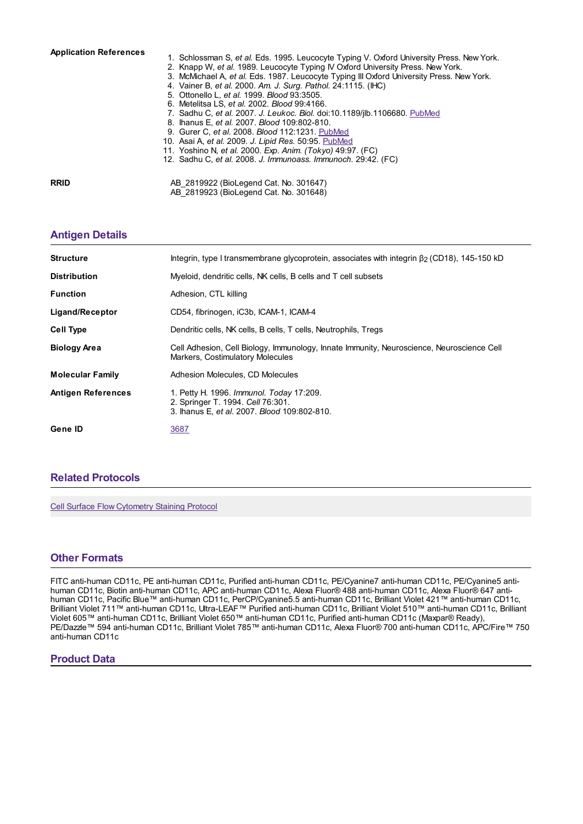#### **Application References**

- 1. Schlossman S, *et al.* Eds. 1995. Leucocyte Typing V. Oxford University Press. New York.
- 2. Knapp W, *et al.* 1989. Leucocyte Typing IV Oxford University Press. New York.
- 3. McMichael A, *et al.* Eds. 1987. Leucocyte Typing III Oxford University Press. New York.
- 4. Vainer B, *et al.* 2000. *Am. J. Surg. Pathol.* 24:1115. (IHC)
- 5. Ottonello L, *et al.* 1999. *Blood* 93:3505.
- 6. Metelitsa LS, *et al.* 2002. *Blood* 99:4166.
- 7. Sadhu C, *et al.* 2007. *J. Leukoc. Biol.* doi:10.1189/jlb.1106680. [PubMed](http://www.ncbi.nlm.nih.gov/pubmed/17389580")
- 8. Ihanus E, *et al.* 2007. *Blood* 109:802-810.
- 9. Gurer C, *et al.* 2008. *Blood* 112:1231. [PubMed](http://www.ncbi.nlm.nih.gov/pubmed/18519810)
- 10. Asai A, *et al.* 2009. *J. Lipid Res.* 50:95. [PubMed](http://www.ncbi.nlm.nih.gov/pubmed/19114730) 11. Yoshino N, *et al.* 2000. *Exp. Anim. (Tokyo)* 49:97. (FC)
- 12. Sadhu C, *et al.* 2008. *J. Immunoass. Immunoch.* 29:42. (FC)
- 

**RRID** AB 2819922 (BioLegend Cat. No. 301647) AB\_2819923 (BioLegend Cat. No. 301648)

### **[Antigen](https://www.biolegend.com/nl-be/products/alexa-fluor-700-anti-human-cd11c-antibody-18121?pdf=true&displayInline=true&leftRightMargin=15&topBottomMargin=15&filename=Alexa Fluor%EF%BF%BD%EF%BF%BD 700 anti-human CD11c Antibody.pdf#antigenDetails) Details**

| <b>Structure</b>          | Integrin, type I transmembrane glycoprotein, associates with integrin $\beta$ (CD18), 145-150 kD                              |
|---------------------------|-------------------------------------------------------------------------------------------------------------------------------|
| <b>Distribution</b>       | Myeloid, dendritic cells, NK cells, B cells and T cell subsets                                                                |
| <b>Function</b>           | Adhesion, CTL killing                                                                                                         |
| Ligand/Receptor           | CD54, fibrinogen, iC3b, ICAM-1, ICAM-4                                                                                        |
| <b>Cell Type</b>          | Dendritic cells, NK cells, B cells, T cells, Neutrophils, Tregs                                                               |
| <b>Biology Area</b>       | Cell Adhesion, Cell Biology, Immunology, Innate Immunity, Neuroscience, Neuroscience Cell<br>Markers, Costimulatory Molecules |
| <b>Molecular Family</b>   | Adhesion Molecules, CD Molecules                                                                                              |
| <b>Antigen References</b> | 1. Petty H. 1996. Immunol. Today 17:209.<br>2. Springer T. 1994. Cell 76:301.<br>3. Ihanus E. et al. 2007. Blood 109:802-810. |
| Gene ID                   | 3687                                                                                                                          |

## **Related [Protocols](https://www.biolegend.com/nl-be/products/alexa-fluor-700-anti-human-cd11c-antibody-18121?pdf=true&displayInline=true&leftRightMargin=15&topBottomMargin=15&filename=Alexa Fluor%EF%BF%BD%EF%BF%BD 700 anti-human CD11c Antibody.pdf#productRelatedProtocols)**

Cell Surface Flow [Cytometry](https://www.biolegend.com/protocols/cell-surface-flow-cytometry-staining-protocol/4283/) Staining Protocol

#### **Other [Formats](https://www.biolegend.com/nl-be/products/alexa-fluor-700-anti-human-cd11c-antibody-18121?pdf=true&displayInline=true&leftRightMargin=15&topBottomMargin=15&filename=Alexa Fluor%EF%BF%BD%EF%BF%BD 700 anti-human CD11c Antibody.pdf#productOtherFormats)**

FITC anti-human CD11c, PE anti-human CD11c, Purified anti-human CD11c, PE/Cyanine7 anti-human CD11c, PE/Cyanine5 antihuman CD11c, Biotin anti-human CD11c, APC anti-human CD11c, Alexa Fluor® 488 anti-human CD11c, Alexa Fluor® 647 antihuman CD11c, Pacific Blue™ anti-human CD11c, PerCP/Cyanine5.5 anti-human CD11c, Brilliant Violet 421™ anti-human CD11c, Brilliant Violet 711™ anti-human CD11c, Ultra-LEAF™ Purified anti-human CD11c, Brilliant Violet 510™ anti-human CD11c, Brilliant Violet 605™ anti-human CD11c, Brilliant Violet 650™ anti-human CD11c, Purified anti-human CD11c (Maxpar® Ready), PE/Dazzle™ 594 anti-human CD11c, Brilliant Violet 785™ anti-human CD11c, Alexa Fluor® 700 anti-human CD11c, APC/Fire™ 750 anti-human CD11c

#### **Product Data**